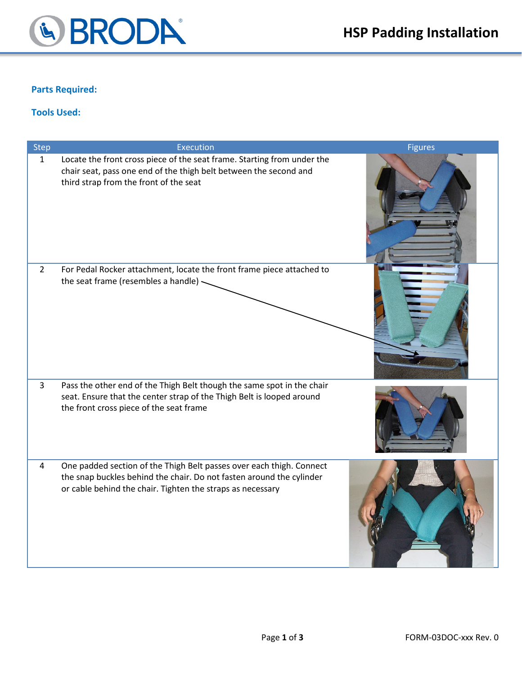

## **Parts Required:**

## **Tools Used:**

| <b>Step</b>    | Execution                                                                                                                                                                                                  | <b>Figures</b> |
|----------------|------------------------------------------------------------------------------------------------------------------------------------------------------------------------------------------------------------|----------------|
| $\mathbf{1}$   | Locate the front cross piece of the seat frame. Starting from under the<br>chair seat, pass one end of the thigh belt between the second and<br>third strap from the front of the seat                     |                |
| $\overline{2}$ | For Pedal Rocker attachment, locate the front frame piece attached to<br>the seat frame (resembles a handle) -                                                                                             |                |
| $\overline{3}$ | Pass the other end of the Thigh Belt though the same spot in the chair<br>seat. Ensure that the center strap of the Thigh Belt is looped around<br>the front cross piece of the seat frame                 |                |
| $\overline{4}$ | One padded section of the Thigh Belt passes over each thigh. Connect<br>the snap buckles behind the chair. Do not fasten around the cylinder<br>or cable behind the chair. Tighten the straps as necessary |                |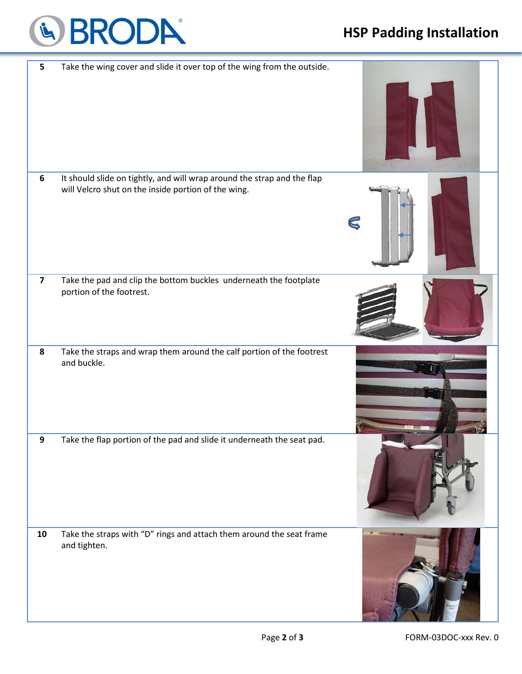

## **HSP Padding Installation**

| 5                       | Take the wing cover and slide it over top of the wing from the outside.                                                        |              |
|-------------------------|--------------------------------------------------------------------------------------------------------------------------------|--------------|
|                         |                                                                                                                                |              |
| 6                       | It should slide on tightly, and will wrap around the strap and the flap<br>will Velcro shut on the inside portion of the wing. | $\mathbb{C}$ |
| $\overline{\mathbf{z}}$ | Take the pad and clip the bottom buckles underneath the footplate<br>portion of the footrest.                                  |              |
| 8                       | Take the straps and wrap them around the calf portion of the footrest<br>and buckle.                                           |              |
| Q                       | Take the flap portion of the pad and slide it underneath the seat pad.                                                         |              |
| 10                      | Take the straps with "D" rings and attach them around the seat frame<br>and tighten.                                           |              |